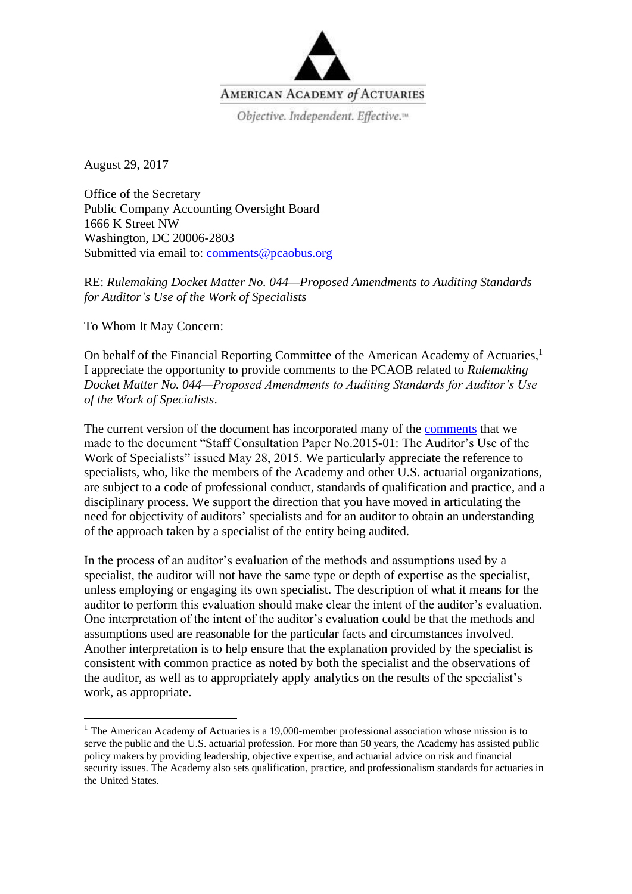

August 29, 2017

Office of the Secretary Public Company Accounting Oversight Board 1666 K Street NW Washington, DC 20006-2803 Submitted via email to: [comments@pcaobus.org](mailto:comments@pcaobus.org)

RE: *Rulemaking Docket Matter No. 044—Proposed Amendments to Auditing Standards for Auditor's Use of the Work of Specialists*

To Whom It May Concern:

 $\overline{\phantom{a}}$ 

On behalf of the Financial Reporting Committee of the American Academy of Actuaries,<sup>1</sup> I appreciate the opportunity to provide comments to the PCAOB related to *Rulemaking Docket Matter No. 044—Proposed Amendments to Auditing Standards for Auditor's Use of the Work of Specialists*.

The current version of the document has incorporated many of the [comments](http://actuary.org/files/FRC_PCAOB_Auditor_Specialists_Comments_073115.pdf) that we made to the document "Staff Consultation Paper No.2015-01: The Auditor's Use of the Work of Specialists" issued May 28, 2015. We particularly appreciate the reference to specialists, who, like the members of the Academy and other U.S. actuarial organizations, are subject to a code of professional conduct, standards of qualification and practice, and a disciplinary process. We support the direction that you have moved in articulating the need for objectivity of auditors' specialists and for an auditor to obtain an understanding of the approach taken by a specialist of the entity being audited.

In the process of an auditor's evaluation of the methods and assumptions used by a specialist, the auditor will not have the same type or depth of expertise as the specialist, unless employing or engaging its own specialist. The description of what it means for the auditor to perform this evaluation should make clear the intent of the auditor's evaluation. One interpretation of the intent of the auditor's evaluation could be that the methods and assumptions used are reasonable for the particular facts and circumstances involved. Another interpretation is to help ensure that the explanation provided by the specialist is consistent with common practice as noted by both the specialist and the observations of the auditor, as well as to appropriately apply analytics on the results of the specialist's work, as appropriate.

<sup>&</sup>lt;sup>1</sup> The American Academy of Actuaries is a 19,000-member professional association whose mission is to serve the public and the U.S. actuarial profession. For more than 50 years, the Academy has assisted public policy makers by providing leadership, objective expertise, and actuarial advice on risk and financial security issues. The Academy also sets qualification, practice, and professionalism standards for actuaries in the United States.